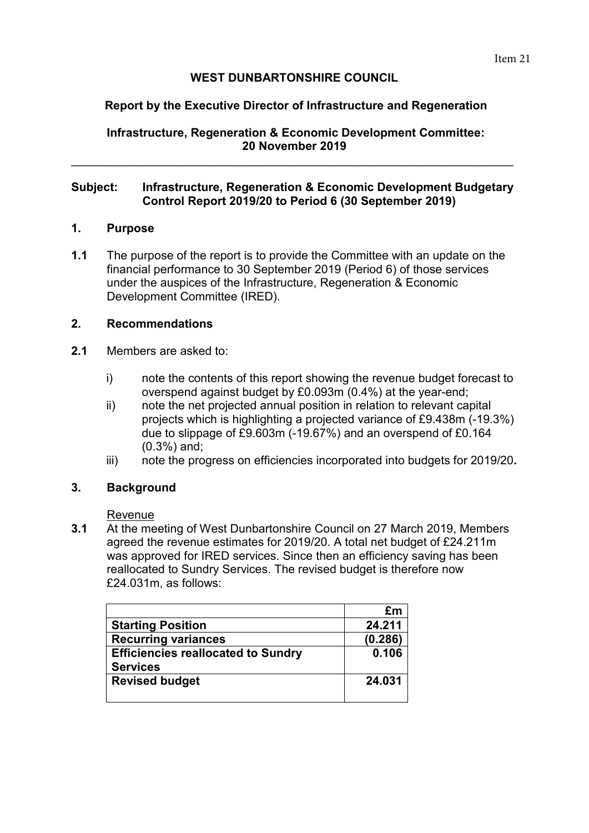# **WEST DUNBARTONSHIRE COUNCIL**

# **Report by the Executive Director of Infrastructure and Regeneration**

**Infrastructure, Regeneration & Economic Development Committee: 20 November 2019** 

\_\_\_\_\_\_\_\_\_\_\_\_\_\_\_\_\_\_\_\_\_\_\_\_\_\_\_\_\_\_\_\_\_\_\_\_\_\_\_\_\_\_\_\_\_\_\_\_\_\_\_\_\_\_\_\_\_\_\_\_\_\_\_\_\_\_\_

#### **Subject: Infrastructure, Regeneration & Economic Development Budgetary Control Report 2019/20 to Period 6 (30 September 2019)**

#### **1. Purpose**

**1.1** The purpose of the report is to provide the Committee with an update on the financial performance to 30 September 2019 (Period 6) of those services under the auspices of the Infrastructure, Regeneration & Economic Development Committee (IRED).

### **2. Recommendations**

- **2.1** Members are asked to:
	- i) note the contents of this report showing the revenue budget forecast to overspend against budget by £0.093m (0.4%) at the year-end;
	- ii) note the net projected annual position in relation to relevant capital projects which is highlighting a projected variance of £9.438m (-19.3%) due to slippage of £9.603m (-19.67%) and an overspend of £0.164 (0.3%) and;
	- iii) note the progress on efficiencies incorporated into budgets for 2019/20**.**

#### **3. Background**

#### Revenue

**3.1** At the meeting of West Dunbartonshire Council on 27 March 2019, Members agreed the revenue estimates for 2019/20. A total net budget of £24.211m was approved for IRED services. Since then an efficiency saving has been reallocated to Sundry Services. The revised budget is therefore now £24.031m, as follows:

|                                           | £m      |
|-------------------------------------------|---------|
| <b>Starting Position</b>                  | 24.211  |
| <b>Recurring variances</b>                | (0.286) |
| <b>Efficiencies reallocated to Sundry</b> | 0.106   |
| <b>Services</b>                           |         |
| <b>Revised budget</b>                     | 24.031  |
|                                           |         |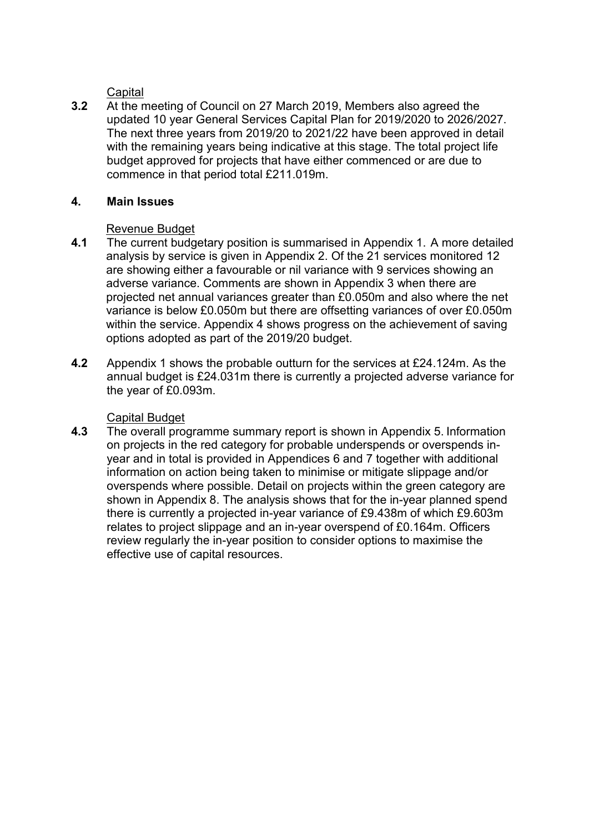**Capital** 

**3.2** At the meeting of Council on 27 March 2019, Members also agreed the updated 10 year General Services Capital Plan for 2019/2020 to 2026/2027. The next three years from 2019/20 to 2021/22 have been approved in detail with the remaining years being indicative at this stage. The total project life budget approved for projects that have either commenced or are due to commence in that period total £211.019m.

## **4. Main Issues**

### Revenue Budget

- **4.1** The current budgetary position is summarised in Appendix 1. A more detailed analysis by service is given in Appendix 2. Of the 21 services monitored 12 are showing either a favourable or nil variance with 9 services showing an adverse variance. Comments are shown in Appendix 3 when there are projected net annual variances greater than £0.050m and also where the net variance is below £0.050m but there are offsetting variances of over £0.050m within the service. Appendix 4 shows progress on the achievement of saving options adopted as part of the 2019/20 budget.
- **4.2** Appendix 1 shows the probable outturn for the services at £24.124m. As the annual budget is £24.031m there is currently a projected adverse variance for the year of £0.093m.

#### Capital Budget

**4.3** The overall programme summary report is shown in Appendix 5. Information on projects in the red category for probable underspends or overspends inyear and in total is provided in Appendices 6 and 7 together with additional information on action being taken to minimise or mitigate slippage and/or overspends where possible. Detail on projects within the green category are shown in Appendix 8. The analysis shows that for the in-year planned spend there is currently a projected in-year variance of £9.438m of which £9.603m relates to project slippage and an in-year overspend of £0.164m. Officers review regularly the in-year position to consider options to maximise the effective use of capital resources.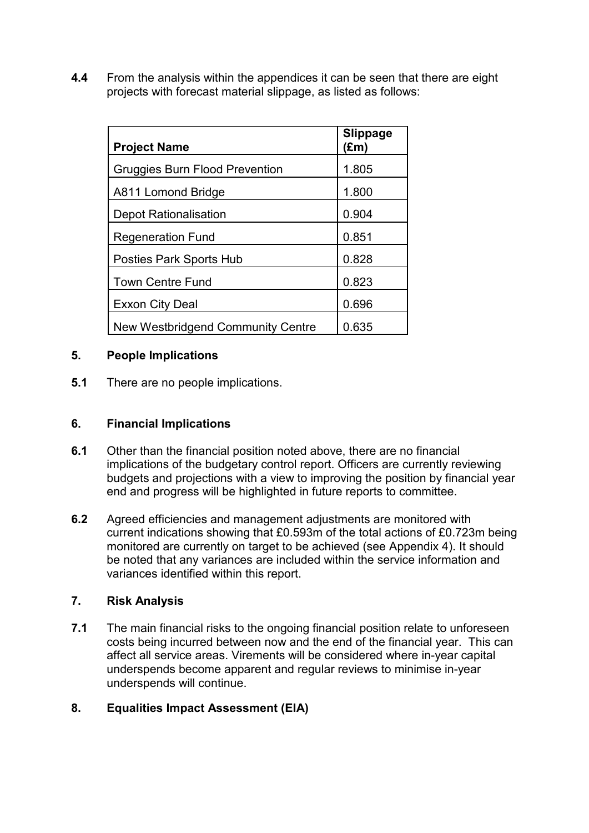**4.4** From the analysis within the appendices it can be seen that there are eight projects with forecast material slippage, as listed as follows:

| <b>Project Name</b>                   | <b>Slippage</b><br>$(\text{Em})$ |
|---------------------------------------|----------------------------------|
| <b>Gruggies Burn Flood Prevention</b> | 1.805                            |
| A811 Lomond Bridge                    | 1.800                            |
| <b>Depot Rationalisation</b>          | 0.904                            |
| <b>Regeneration Fund</b>              | 0.851                            |
| <b>Posties Park Sports Hub</b>        | 0.828                            |
| <b>Town Centre Fund</b>               | 0.823                            |
| <b>Exxon City Deal</b>                | 0.696                            |
| New Westbridgend Community Centre     | 0.635                            |

### **5. People Implications**

**5.1** There are no people implications.

## **6. Financial Implications**

- **6.1** Other than the financial position noted above, there are no financial implications of the budgetary control report. Officers are currently reviewing budgets and projections with a view to improving the position by financial year end and progress will be highlighted in future reports to committee.
- **6.2** Agreed efficiencies and management adjustments are monitored with current indications showing that £0.593m of the total actions of £0.723m being monitored are currently on target to be achieved (see Appendix 4). It should be noted that any variances are included within the service information and variances identified within this report.

# **7. Risk Analysis**

**7.1** The main financial risks to the ongoing financial position relate to unforeseen costs being incurred between now and the end of the financial year. This can affect all service areas. Virements will be considered where in-year capital underspends become apparent and regular reviews to minimise in-year underspends will continue.

# **8. Equalities Impact Assessment (EIA)**